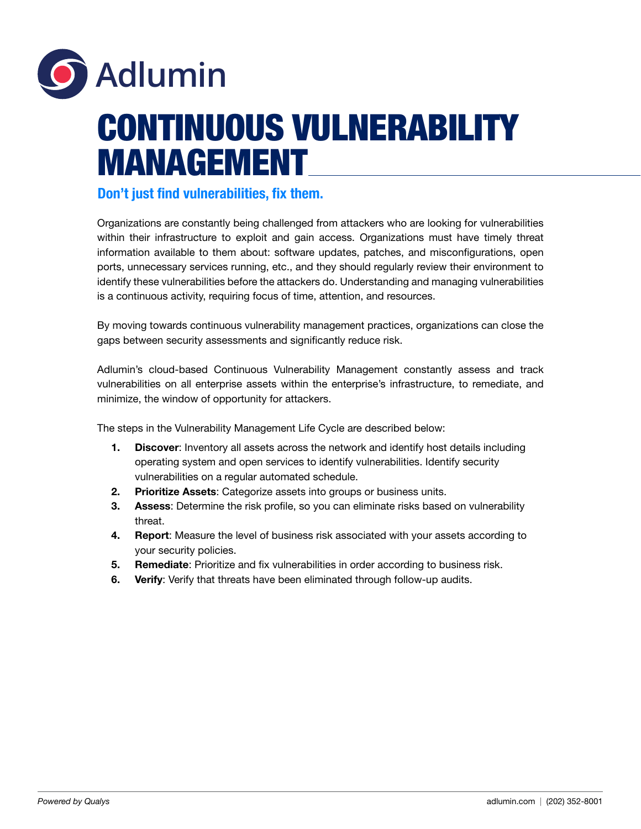

## CONTINUOUS VULNERABILITY MANAGEMENT

## Don't just find vulnerabilities, fix them.

Organizations are constantly being challenged from attackers who are looking for vulnerabilities within their infrastructure to exploit and gain access. Organizations must have timely threat information available to them about: software updates, patches, and misconfigurations, open ports, unnecessary services running, etc., and they should regularly review their environment to identify these vulnerabilities before the attackers do. Understanding and managing vulnerabilities is a continuous activity, requiring focus of time, attention, and resources.

By moving towards continuous vulnerability management practices, organizations can close the gaps between security assessments and significantly reduce risk.

Adlumin's cloud-based Continuous Vulnerability Management constantly assess and track vulnerabilities on all enterprise assets within the enterprise's infrastructure, to remediate, and minimize, the window of opportunity for attackers.

The steps in the Vulnerability Management Life Cycle are described below:

- 1. Discover: Inventory all assets across the network and identify host details including operating system and open services to identify vulnerabilities. Identify security vulnerabilities on a regular automated schedule.
- 2. Prioritize Assets: Categorize assets into groups or business units.
- 3. Assess: Determine the risk profile, so you can eliminate risks based on vulnerability threat.
- 4. Report: Measure the level of business risk associated with your assets according to your security policies.
- 5. Remediate: Prioritize and fix vulnerabilities in order according to business risk.
- 6. Verify: Verify that threats have been eliminated through follow-up audits.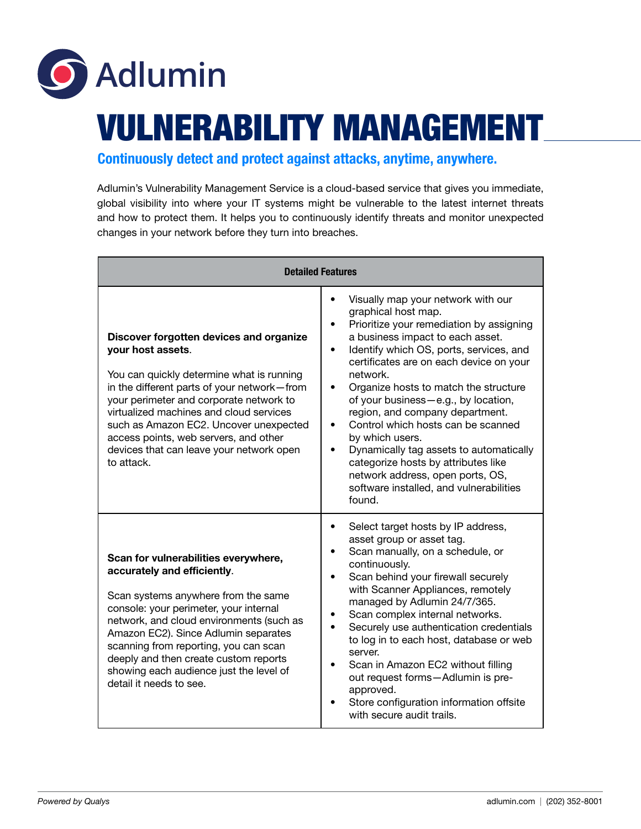

## VULNERABILITY MANAGEMENT

Continuously detect and protect against attacks, anytime, anywhere.

Adlumin's Vulnerability Management Service is a cloud-based service that gives you immediate, global visibility into where your IT systems might be vulnerable to the latest internet threats and how to protect them. It helps you to continuously identify threats and monitor unexpected changes in your network before they turn into breaches.

| <b>Detailed Features</b>                                                                                                                                                                                                                                                                                                                                                                         |                                                                                                                                                                                                                                                                                                                                                                                                                                                                                                                                                                                                                      |
|--------------------------------------------------------------------------------------------------------------------------------------------------------------------------------------------------------------------------------------------------------------------------------------------------------------------------------------------------------------------------------------------------|----------------------------------------------------------------------------------------------------------------------------------------------------------------------------------------------------------------------------------------------------------------------------------------------------------------------------------------------------------------------------------------------------------------------------------------------------------------------------------------------------------------------------------------------------------------------------------------------------------------------|
| Discover forgotten devices and organize<br>your host assets.<br>You can quickly determine what is running<br>in the different parts of your network-from<br>your perimeter and corporate network to<br>virtualized machines and cloud services<br>such as Amazon EC2. Uncover unexpected<br>access points, web servers, and other<br>devices that can leave your network open<br>to attack.      | Visually map your network with our<br>graphical host map.<br>Prioritize your remediation by assigning<br>a business impact to each asset.<br>Identify which OS, ports, services, and<br>٠<br>certificates are on each device on your<br>network.<br>Organize hosts to match the structure<br>of your business-e.g., by location,<br>region, and company department.<br>Control which hosts can be scanned<br>by which users.<br>Dynamically tag assets to automatically<br>$\bullet$<br>categorize hosts by attributes like<br>network address, open ports, OS,<br>software installed, and vulnerabilities<br>found. |
| Scan for vulnerabilities everywhere,<br>accurately and efficiently.<br>Scan systems anywhere from the same<br>console: your perimeter, your internal<br>network, and cloud environments (such as<br>Amazon EC2). Since Adlumin separates<br>scanning from reporting, you can scan<br>deeply and then create custom reports<br>showing each audience just the level of<br>detail it needs to see. | Select target hosts by IP address,<br>٠<br>asset group or asset tag.<br>Scan manually, on a schedule, or<br>continuously.<br>Scan behind your firewall securely<br>with Scanner Appliances, remotely<br>managed by Adlumin 24/7/365.<br>Scan complex internal networks.<br>Securely use authentication credentials<br>to log in to each host, database or web<br>server.<br>Scan in Amazon EC2 without filling<br>out request forms-Adlumin is pre-<br>approved.<br>Store configuration information offsite<br>with secure audit trails.                                                                             |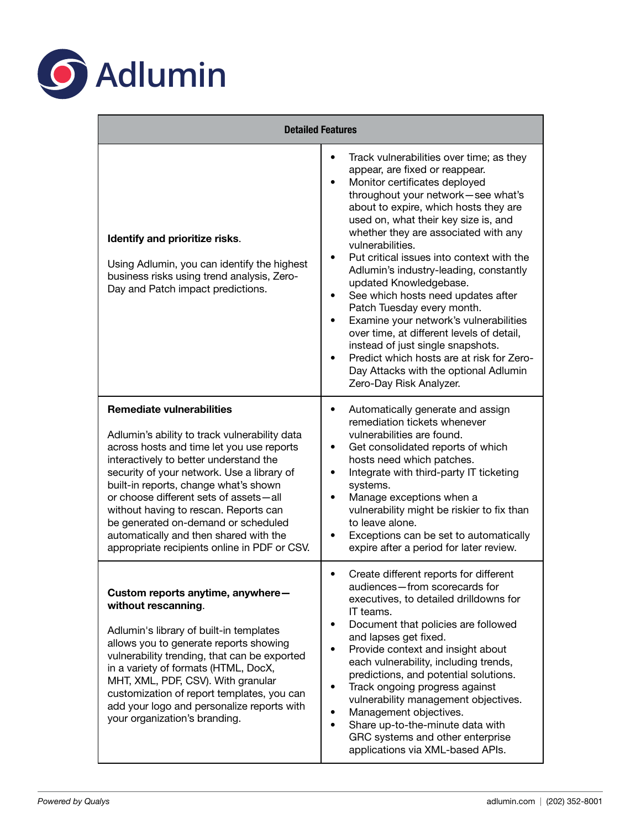

| <b>Detailed Features</b>                                                                                                                                                                                                                                                                                                                                                                                                                                                            |                                                                                                                                                                                                                                                                                                                                                                                                                                                                                                                                                                                                                                                                                                                                                                                                                |
|-------------------------------------------------------------------------------------------------------------------------------------------------------------------------------------------------------------------------------------------------------------------------------------------------------------------------------------------------------------------------------------------------------------------------------------------------------------------------------------|----------------------------------------------------------------------------------------------------------------------------------------------------------------------------------------------------------------------------------------------------------------------------------------------------------------------------------------------------------------------------------------------------------------------------------------------------------------------------------------------------------------------------------------------------------------------------------------------------------------------------------------------------------------------------------------------------------------------------------------------------------------------------------------------------------------|
| Identify and prioritize risks.<br>Using Adlumin, you can identify the highest<br>business risks using trend analysis, Zero-<br>Day and Patch impact predictions.                                                                                                                                                                                                                                                                                                                    | Track vulnerabilities over time; as they<br>$\bullet$<br>appear, are fixed or reappear.<br>Monitor certificates deployed<br>$\bullet$<br>throughout your network-see what's<br>about to expire, which hosts they are<br>used on, what their key size is, and<br>whether they are associated with any<br>vulnerabilities.<br>Put critical issues into context with the<br>$\bullet$<br>Adlumin's industry-leading, constantly<br>updated Knowledgebase.<br>See which hosts need updates after<br>$\bullet$<br>Patch Tuesday every month.<br>Examine your network's vulnerabilities<br>$\bullet$<br>over time, at different levels of detail,<br>instead of just single snapshots.<br>Predict which hosts are at risk for Zero-<br>$\bullet$<br>Day Attacks with the optional Adlumin<br>Zero-Day Risk Analyzer. |
| <b>Remediate vulnerabilities</b><br>Adlumin's ability to track vulnerability data<br>across hosts and time let you use reports<br>interactively to better understand the<br>security of your network. Use a library of<br>built-in reports, change what's shown<br>or choose different sets of assets-all<br>without having to rescan. Reports can<br>be generated on-demand or scheduled<br>automatically and then shared with the<br>appropriate recipients online in PDF or CSV. | Automatically generate and assign<br>$\bullet$<br>remediation tickets whenever<br>vulnerabilities are found.<br>Get consolidated reports of which<br>$\bullet$<br>hosts need which patches.<br>Integrate with third-party IT ticketing<br>$\bullet$<br>systems.<br>Manage exceptions when a<br>$\bullet$<br>vulnerability might be riskier to fix than<br>to leave alone.<br>Exceptions can be set to automatically<br>expire after a period for later review.                                                                                                                                                                                                                                                                                                                                                 |
| Custom reports anytime, anywhere-<br>without rescanning.<br>Adlumin's library of built-in templates<br>allows you to generate reports showing<br>vulnerability trending, that can be exported<br>in a variety of formats (HTML, DocX,<br>MHT, XML, PDF, CSV). With granular<br>customization of report templates, you can<br>add your logo and personalize reports with<br>your organization's branding.                                                                            | Create different reports for different<br>٠<br>audiences-from scorecards for<br>executives, to detailed drilldowns for<br>IT teams.<br>Document that policies are followed<br>and lapses get fixed.<br>Provide context and insight about<br>each vulnerability, including trends,<br>predictions, and potential solutions.<br>Track ongoing progress against<br>٠<br>vulnerability management objectives.<br>Management objectives.<br>Share up-to-the-minute data with<br>$\bullet$<br>GRC systems and other enterprise<br>applications via XML-based APIs.                                                                                                                                                                                                                                                   |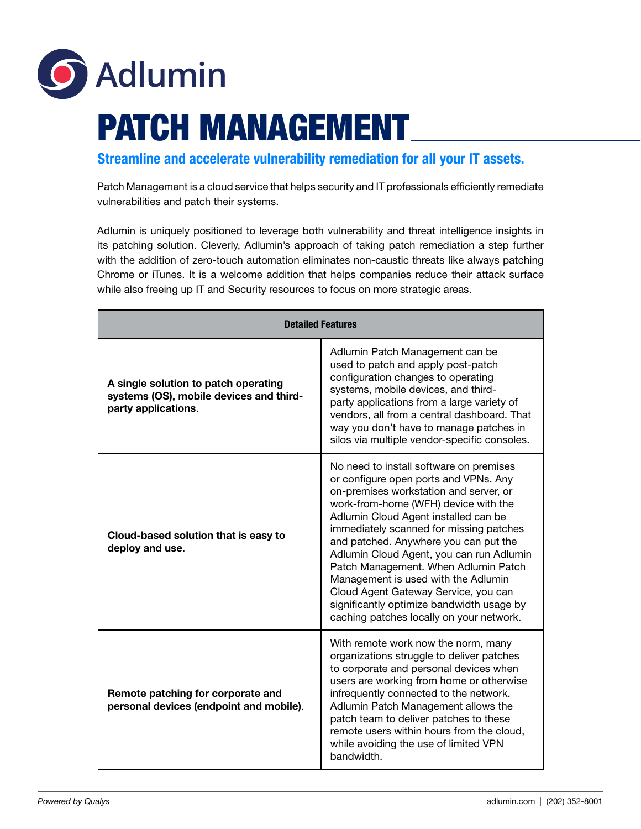

## PATCH MANAGEMENT

Streamline and accelerate vulnerability remediation for all your IT assets.

Patch Management is a cloud service that helps security and IT professionals efficiently remediate vulnerabilities and patch their systems.

Adlumin is uniquely positioned to leverage both vulnerability and threat intelligence insights in its patching solution. Cleverly, Adlumin's approach of taking patch remediation a step further with the addition of zero-touch automation eliminates non-caustic threats like always patching Chrome or iTunes. It is a welcome addition that helps companies reduce their attack surface while also freeing up IT and Security resources to focus on more strategic areas.

| <b>Detailed Features</b>                                                                               |                                                                                                                                                                                                                                                                                                                                                                                                                                                                                                                                                            |  |
|--------------------------------------------------------------------------------------------------------|------------------------------------------------------------------------------------------------------------------------------------------------------------------------------------------------------------------------------------------------------------------------------------------------------------------------------------------------------------------------------------------------------------------------------------------------------------------------------------------------------------------------------------------------------------|--|
| A single solution to patch operating<br>systems (OS), mobile devices and third-<br>party applications. | Adlumin Patch Management can be<br>used to patch and apply post-patch<br>configuration changes to operating<br>systems, mobile devices, and third-<br>party applications from a large variety of<br>vendors, all from a central dashboard. That<br>way you don't have to manage patches in<br>silos via multiple vendor-specific consoles.                                                                                                                                                                                                                 |  |
| Cloud-based solution that is easy to<br>deploy and use.                                                | No need to install software on premises<br>or configure open ports and VPNs. Any<br>on-premises workstation and server, or<br>work-from-home (WFH) device with the<br>Adlumin Cloud Agent installed can be<br>immediately scanned for missing patches<br>and patched. Anywhere you can put the<br>Adlumin Cloud Agent, you can run Adlumin<br>Patch Management. When Adlumin Patch<br>Management is used with the Adlumin<br>Cloud Agent Gateway Service, you can<br>significantly optimize bandwidth usage by<br>caching patches locally on your network. |  |
| Remote patching for corporate and<br>personal devices (endpoint and mobile).                           | With remote work now the norm, many<br>organizations struggle to deliver patches<br>to corporate and personal devices when<br>users are working from home or otherwise<br>infrequently connected to the network.<br>Adlumin Patch Management allows the<br>patch team to deliver patches to these<br>remote users within hours from the cloud,<br>while avoiding the use of limited VPN<br>bandwidth.                                                                                                                                                      |  |